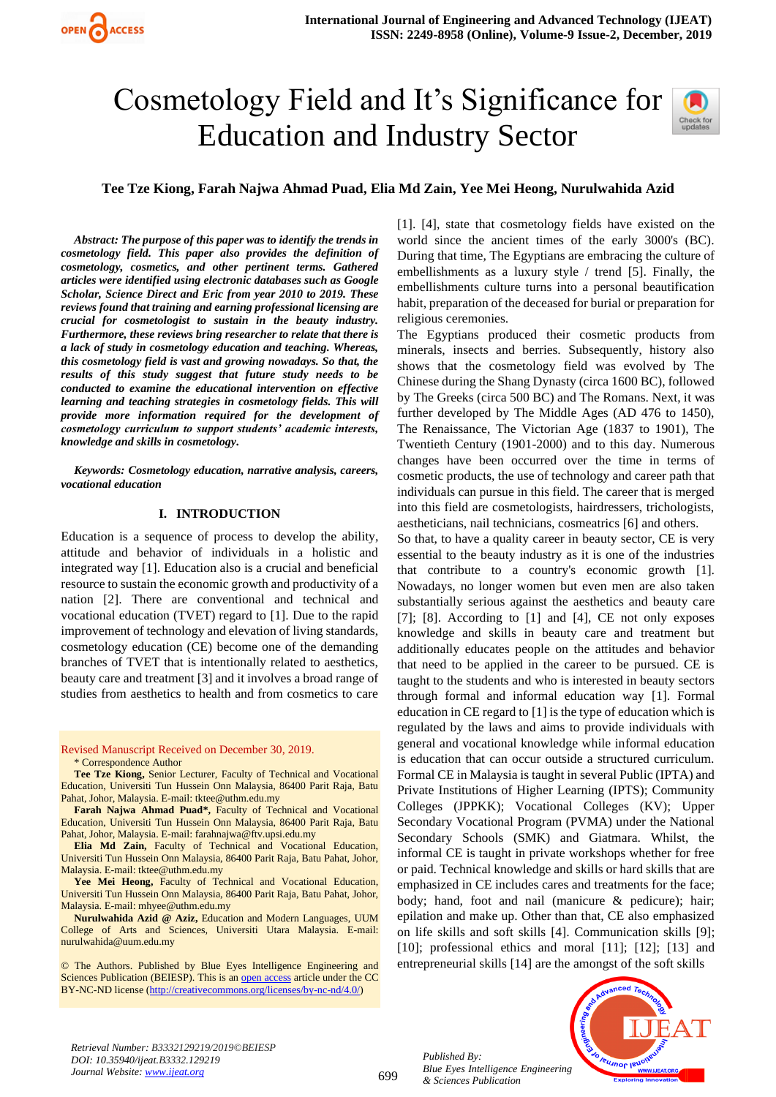# Cosmetology Field and It's Significance for Education and Industry Sector



# **Tee Tze Kiong, Farah Najwa Ahmad Puad, Elia Md Zain, Yee Mei Heong, Nurulwahida Azid**

*Abstract: The purpose of this paper was to identify the trends in cosmetology field. This paper also provides the definition of cosmetology, cosmetics, and other pertinent terms. Gathered articles were identified using electronic databases such as Google Scholar, Science Direct and Eric from year 2010 to 2019. These reviews found that training and earning professional licensing are crucial for cosmetologist to sustain in the beauty industry. Furthermore, these reviews bring researcher to relate that there is a lack of study in cosmetology education and teaching. Whereas, this cosmetology field is vast and growing nowadays. So that, the results of this study suggest that future study needs to be conducted to examine the educational intervention on effective learning and teaching strategies in cosmetology fields. This will provide more information required for the development of cosmetology curriculum to support students' academic interests, knowledge and skills in cosmetology.*

*Keywords: Cosmetology education, narrative analysis, careers, vocational education*

#### **I. INTRODUCTION**

Education is a sequence of process to develop the ability, attitude and behavior of individuals in a holistic and integrated way [1]. Education also is a crucial and beneficial resource to sustain the economic growth and productivity of a nation [2]. There are conventional and technical and vocational education (TVET) regard to [1]. Due to the rapid improvement of technology and elevation of living standards, cosmetology education (CE) become one of the demanding branches of TVET that is intentionally related to aesthetics, beauty care and treatment [3] and it involves a broad range of studies from aesthetics to health and from cosmetics to care

Revised Manuscript Received on December 30, 2019.

\* Correspondence Author

**Tee Tze Kiong,** Senior Lecturer, Faculty of Technical and Vocational Education, Universiti Tun Hussein Onn Malaysia, 86400 Parit Raja, Batu Pahat, Johor, Malaysia. E-mail: tktee@uthm.edu.my

**Farah Najwa Ahmad Puad\*,** Faculty of Technical and Vocational Education, Universiti Tun Hussein Onn Malaysia, 86400 Parit Raja, Batu Pahat, Johor, Malaysia. E-mail: farahnajwa@ftv.upsi.edu.my

**Elia Md Zain,** Faculty of Technical and Vocational Education, Universiti Tun Hussein Onn Malaysia, 86400 Parit Raja, Batu Pahat, Johor, Malaysia. E-mail: tktee@uthm.edu.my

**Yee Mei Heong,** Faculty of Technical and Vocational Education, Universiti Tun Hussein Onn Malaysia, 86400 Parit Raja, Batu Pahat, Johor, Malaysia. E-mail: mhyee@uthm.edu.my

**Nurulwahida Azid @ Aziz,** Education and Modern Languages, UUM College of Arts and Sciences, Universiti Utara Malaysia. E-mail: [nurulwahida@uum.edu.my](mailto:nurulwahida@uum.edu.my)

© The Authors. Published by Blue Eyes Intelligence Engineering and Sciences Publication (BEIESP). This is a[n open access](https://www.openaccess.nl/en/open-publications) article under the CC BY-NC-ND license [\(http://creativecommons.org/licenses/by-nc-nd/4.0/\)](http://creativecommons.org/licenses/by-nc-nd/4.0/)

[1]. [4], state that cosmetology fields have existed on the world since the ancient times of the early 3000's (BC). During that time, The Egyptians are embracing the culture of embellishments as a luxury style / trend [5]. Finally, the embellishments culture turns into a personal beautification habit, preparation of the deceased for burial or preparation for religious ceremonies.

The Egyptians produced their cosmetic products from minerals, insects and berries. Subsequently, history also shows that the cosmetology field was evolved by The Chinese during the Shang Dynasty (circa 1600 BC), followed by The Greeks (circa 500 BC) and The Romans. Next, it was further developed by The Middle Ages (AD 476 to 1450), The Renaissance, The Victorian Age (1837 to 1901), The Twentieth Century (1901-2000) and to this day. Numerous changes have been occurred over the time in terms of cosmetic products, the use of technology and career path that individuals can pursue in this field. The career that is merged into this field are cosmetologists, hairdressers, trichologists, aestheticians, nail technicians, cosmeatrics [6] and others.

So that, to have a quality career in beauty sector, CE is very essential to the beauty industry as it is one of the industries that contribute to a country's economic growth [1]. Nowadays, no longer women but even men are also taken substantially serious against the aesthetics and beauty care [7];  $[8]$ . According to  $[1]$  and  $[4]$ , CE not only exposes knowledge and skills in beauty care and treatment but additionally educates people on the attitudes and behavior that need to be applied in the career to be pursued. CE is taught to the students and who is interested in beauty sectors through formal and informal education way [1]. Formal education in CE regard to [1] is the type of education which is regulated by the laws and aims to provide individuals with general and vocational knowledge while informal education is education that can occur outside a structured curriculum. Formal CE in Malaysia is taught in several Public (IPTA) and Private Institutions of Higher Learning (IPTS); Community Colleges (JPPKK); Vocational Colleges (KV); Upper Secondary Vocational Program (PVMA) under the National Secondary Schools (SMK) and Giatmara. Whilst, the informal CE is taught in private workshops whether for free or paid. Technical knowledge and skills or hard skills that are emphasized in CE includes cares and treatments for the face; body; hand, foot and nail (manicure & pedicure); hair; epilation and make up. Other than that, CE also emphasized on life skills and soft skills [4]. Communication skills [9]; [10]; professional ethics and moral [11]; [12]; [13] and entrepreneurial skills [14] are the amongst of the soft skills



*Published By: Blue Eyes Intelligence Engineering & Sciences Publication*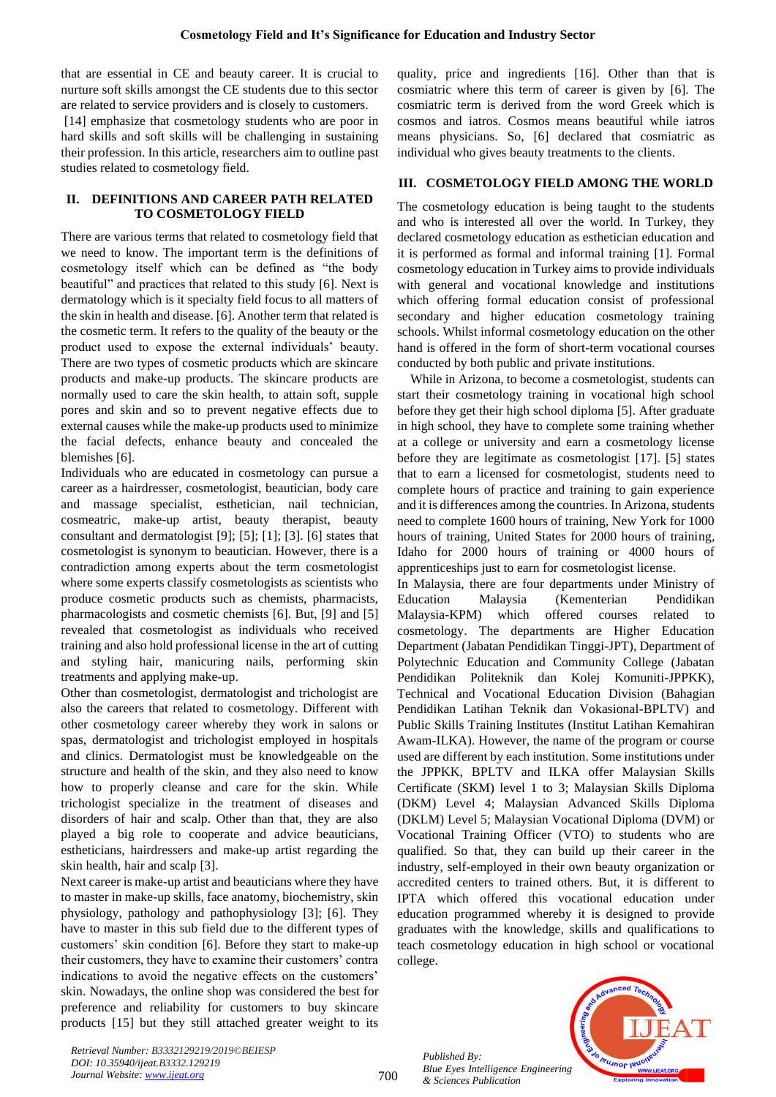that are essential in CE and beauty career. It is crucial to nurture soft skills amongst the CE students due to this sector are related to service providers and is closely to customers.

[14] emphasize that cosmetology students who are poor in hard skills and soft skills will be challenging in sustaining their profession. In this article, researchers aim to outline past studies related to cosmetology field.

## **II. DEFINITIONS AND CAREER PATH RELATED TO COSMETOLOGY FIELD**

There are various terms that related to cosmetology field that we need to know. The important term is the definitions of cosmetology itself which can be defined as "the body beautiful" and practices that related to this study [6]. Next is dermatology which is it specialty field focus to all matters of the skin in health and disease. [6]. Another term that related is the cosmetic term. It refers to the quality of the beauty or the product used to expose the external individuals' beauty. There are two types of cosmetic products which are skincare products and make-up products. The skincare products are normally used to care the skin health, to attain soft, supple pores and skin and so to prevent negative effects due to external causes while the make-up products used to minimize the facial defects, enhance beauty and concealed the blemishes [6].

Individuals who are educated in cosmetology can pursue a career as a hairdresser, cosmetologist, beautician, body care and massage specialist, esthetician, nail technician, cosmeatric, make-up artist, beauty therapist, beauty consultant and dermatologist [9]; [5]; [1]; [3]. [6] states that cosmetologist is synonym to beautician. However, there is a contradiction among experts about the term cosmetologist where some experts classify cosmetologists as scientists who produce cosmetic products such as chemists, pharmacists, pharmacologists and cosmetic chemists [6]. But, [9] and [5] revealed that cosmetologist as individuals who received training and also hold professional license in the art of cutting and styling hair, manicuring nails, performing skin treatments and applying make-up.

Other than cosmetologist, dermatologist and trichologist are also the careers that related to cosmetology. Different with other cosmetology career whereby they work in salons or spas, dermatologist and trichologist employed in hospitals and clinics. Dermatologist must be knowledgeable on the structure and health of the skin, and they also need to know how to properly cleanse and care for the skin. While trichologist specialize in the treatment of diseases and disorders of hair and scalp. Other than that, they are also played a big role to cooperate and advice beauticians, estheticians, hairdressers and make-up artist regarding the skin health, hair and scalp [3].

Next career is make-up artist and beauticians where they have to master in make-up skills, face anatomy, biochemistry, skin physiology, pathology and pathophysiology [3]; [6]. They have to master in this sub field due to the different types of customers' skin condition [6]. Before they start to make-up their customers, they have to examine their customers' contra indications to avoid the negative effects on the customers' skin. Nowadays, the online shop was considered the best for preference and reliability for customers to buy skincare products [15] but they still attached greater weight to its quality, price and ingredients [16]. Other than that is cosmiatric where this term of career is given by [6]. The cosmiatric term is derived from the word Greek which is cosmos and iatros. Cosmos means beautiful while iatros means physicians. So, [6] declared that cosmiatric as individual who gives beauty treatments to the clients.

# **III. COSMETOLOGY FIELD AMONG THE WORLD**

The cosmetology education is being taught to the students and who is interested all over the world. In Turkey, they declared cosmetology education as esthetician education and it is performed as formal and informal training [1]. Formal cosmetology education in Turkey aims to provide individuals with general and vocational knowledge and institutions which offering formal education consist of professional secondary and higher education cosmetology training schools. Whilst informal cosmetology education on the other hand is offered in the form of short-term vocational courses conducted by both public and private institutions.

While in Arizona, to become a cosmetologist, students can start their cosmetology training in vocational high school before they get their high school diploma [5]. After graduate in high school, they have to complete some training whether at a college or university and earn a cosmetology license before they are legitimate as cosmetologist [17]. [5] states that to earn a licensed for cosmetologist, students need to complete hours of practice and training to gain experience and it is differences among the countries. In Arizona, students need to complete 1600 hours of training, New York for 1000 hours of training, United States for 2000 hours of training, Idaho for 2000 hours of training or 4000 hours of apprenticeships just to earn for cosmetologist license.

In Malaysia, there are four departments under Ministry of Education Malaysia (Kementerian Pendidikan Malaysia-KPM) which offered courses related to cosmetology. The departments are Higher Education Department (Jabatan Pendidikan Tinggi-JPT), Department of Polytechnic Education and Community College (Jabatan Pendidikan Politeknik dan Kolej Komuniti-JPPKK), Technical and Vocational Education Division (Bahagian Pendidikan Latihan Teknik dan Vokasional-BPLTV) and Public Skills Training Institutes (Institut Latihan Kemahiran Awam-ILKA). However, the name of the program or course used are different by each institution. Some institutions under the JPPKK, BPLTV and ILKA offer Malaysian Skills Certificate (SKM) level 1 to 3; Malaysian Skills Diploma (DKM) Level 4; Malaysian Advanced Skills Diploma (DKLM) Level 5; Malaysian Vocational Diploma (DVM) or Vocational Training Officer (VTO) to students who are qualified. So that, they can build up their career in the industry, self-employed in their own beauty organization or accredited centers to trained others. But, it is different to IPTA which offered this vocational education under education programmed whereby it is designed to provide graduates with the knowledge, skills and qualifications to teach cosmetology education in high school or vocational college.

*Published By: Blue Eyes Intelligence Engineering & Sciences Publication* 



*Retrieval Number: B3332129219/2019©BEIESP DOI: 10.35940/ijeat.B3332.129219 Journal Website[: www.ijeat.org](http://www.ijeat.org/)*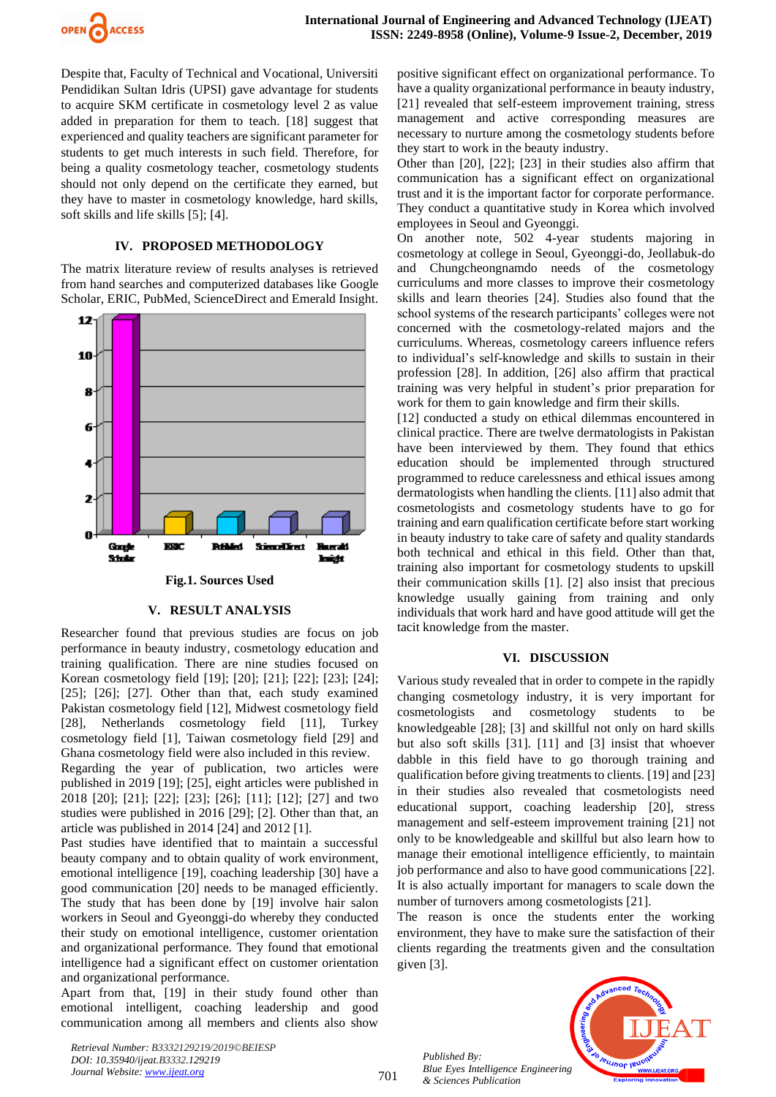

Despite that, Faculty of Technical and Vocational, Universiti Pendidikan Sultan Idris (UPSI) gave advantage for students to acquire SKM certificate in cosmetology level 2 as value added in preparation for them to teach. [18] suggest that experienced and quality teachers are significant parameter for students to get much interests in such field. Therefore, for being a quality cosmetology teacher, cosmetology students should not only depend on the certificate they earned, but they have to master in cosmetology knowledge, hard skills, soft skills and life skills [5]; [4].

## **IV. PROPOSED METHODOLOGY**

The matrix literature review of results analyses is retrieved from hand searches and computerized databases like Google Scholar, ERIC, PubMed, ScienceDirect and Emerald Insight.



## **V. RESULT ANALYSIS**

Researcher found that previous studies are focus on job performance in beauty industry, cosmetology education and training qualification. There are nine studies focused on Korean cosmetology field [19]; [20]; [21]; [22]; [23]; [24]; [25]; [26]; [27]. Other than that, each study examined Pakistan cosmetology field [12], Midwest cosmetology field [28], Netherlands cosmetology field [11], Turkey cosmetology field [1], Taiwan cosmetology field [29] and Ghana cosmetology field were also included in this review.

Regarding the year of publication, two articles were published in 2019 [19]; [25], eight articles were published in 2018 [20]; [21]; [22]; [23]; [26]; [11]; [12]; [27] and two studies were published in 2016 [29]; [2]. Other than that, an article was published in 2014 [24] and 2012 [1].

Past studies have identified that to maintain a successful beauty company and to obtain quality of work environment, emotional intelligence [19], coaching leadership [30] have a good communication [20] needs to be managed efficiently. The study that has been done by [19] involve hair salon workers in Seoul and Gyeonggi-do whereby they conducted their study on emotional intelligence, customer orientation and organizational performance. They found that emotional intelligence had a significant effect on customer orientation and organizational performance.

Apart from that, [19] in their study found other than emotional intelligent, coaching leadership and good communication among all members and clients also show

*Retrieval Number: B3332129219/2019©BEIESP DOI: 10.35940/ijeat.B3332.129219 Journal Website[: www.ijeat.org](http://www.ijeat.org/)*

positive significant effect on organizational performance. To have a quality organizational performance in beauty industry, [21] revealed that self-esteem improvement training, stress management and active corresponding measures are necessary to nurture among the cosmetology students before they start to work in the beauty industry.

Other than [20], [22]; [23] in their studies also affirm that communication has a significant effect on organizational trust and it is the important factor for corporate performance. They conduct a quantitative study in Korea which involved employees in Seoul and Gyeonggi.

On another note, 502 4-year students majoring in cosmetology at college in Seoul, Gyeonggi-do, Jeollabuk-do and Chungcheongnamdo needs of the cosmetology curriculums and more classes to improve their cosmetology skills and learn theories [24]. Studies also found that the school systems of the research participants' colleges were not concerned with the cosmetology-related majors and the curriculums. Whereas, cosmetology careers influence refers to individual's self-knowledge and skills to sustain in their profession [28]. In addition, [26] also affirm that practical training was very helpful in student's prior preparation for work for them to gain knowledge and firm their skills.

[12] conducted a study on ethical dilemmas encountered in clinical practice. There are twelve dermatologists in Pakistan have been interviewed by them. They found that ethics education should be implemented through structured programmed to reduce carelessness and ethical issues among dermatologists when handling the clients. [11] also admit that cosmetologists and cosmetology students have to go for training and earn qualification certificate before start working in beauty industry to take care of safety and quality standards both technical and ethical in this field. Other than that, training also important for cosmetology students to upskill their communication skills [1]. [2] also insist that precious knowledge usually gaining from training and only individuals that work hard and have good attitude will get the tacit knowledge from the master.

## **VI. DISCUSSION**

Various study revealed that in order to compete in the rapidly changing cosmetology industry, it is very important for cosmetologists and cosmetology students to be knowledgeable [28]; [3] and skillful not only on hard skills but also soft skills [31]. [11] and [3] insist that whoever dabble in this field have to go thorough training and qualification before giving treatments to clients. [19] and [23] in their studies also revealed that cosmetologists need educational support, coaching leadership [20], stress management and self-esteem improvement training [21] not only to be knowledgeable and skillful but also learn how to manage their emotional intelligence efficiently, to maintain job performance and also to have good communications [22]. It is also actually important for managers to scale down the number of turnovers among cosmetologists [21].

The reason is once the students enter the working environment, they have to make sure the satisfaction of their clients regarding the treatments given and the consultation given [3].

**PUJNOF IEU** 

*Published By: Blue Eyes Intelligence Engineering & Sciences Publication* 

701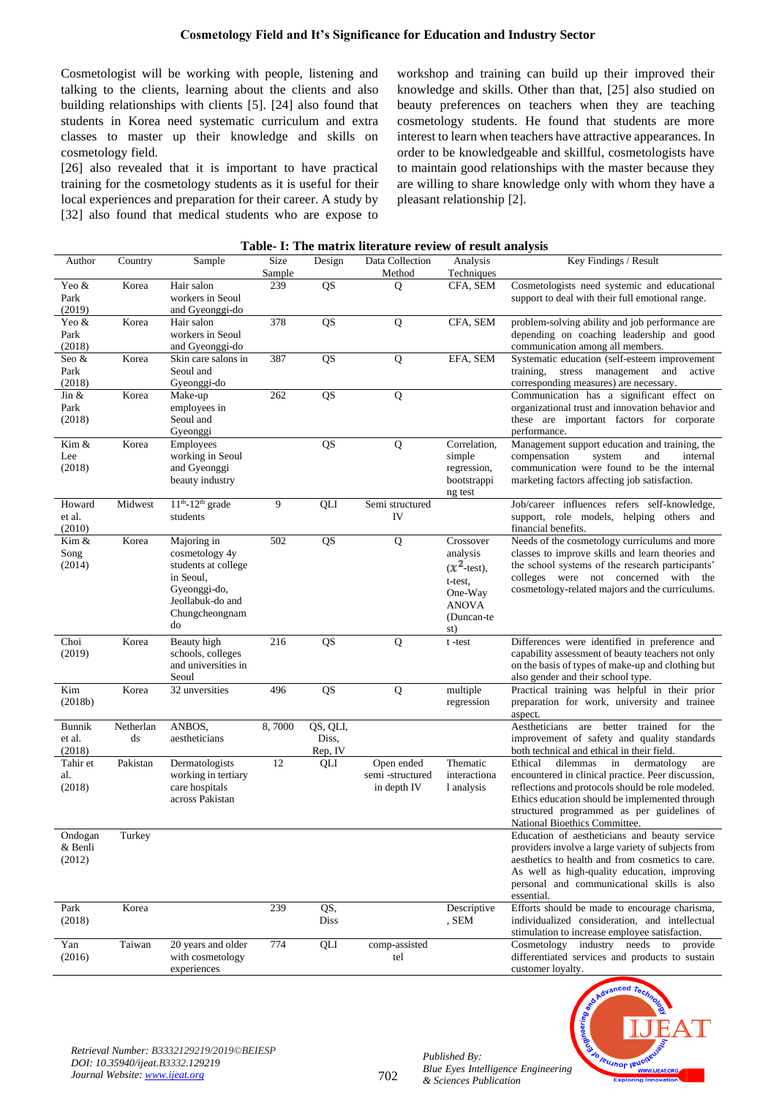Cosmetologist will be working with people, listening and talking to the clients, learning about the clients and also building relationships with clients [5]. [24] also found that students in Korea need systematic curriculum and extra classes to master up their knowledge and skills on cosmetology field.

[26] also revealed that it is important to have practical training for the cosmetology students as it is useful for their local experiences and preparation for their career. A study by [32] also found that medical students who are expose to workshop and training can build up their improved their knowledge and skills. Other than that, [25] also studied on beauty preferences on teachers when they are teaching cosmetology students. He found that students are more interest to learn when teachers have attractive appearances. In order to be knowledgeable and skillful, cosmetologists have to maintain good relationships with the master because they are willing to share knowledge only with whom they have a pleasant relationship [2].

| Table- 1: The matrix netrature review of result analysis |                 |                                                                                                                               |                |                              |                                              |                                                                                                     |                                                                                                                                                                                                                                                                                             |  |  |  |
|----------------------------------------------------------|-----------------|-------------------------------------------------------------------------------------------------------------------------------|----------------|------------------------------|----------------------------------------------|-----------------------------------------------------------------------------------------------------|---------------------------------------------------------------------------------------------------------------------------------------------------------------------------------------------------------------------------------------------------------------------------------------------|--|--|--|
| Author                                                   | Country         | Sample                                                                                                                        | Size<br>Sample | Design                       | Data Collection<br>Method                    | Analysis<br>Techniques                                                                              | Key Findings / Result                                                                                                                                                                                                                                                                       |  |  |  |
| Yeo &<br>Park<br>(2019)                                  | Korea           | Hair salon<br>workers in Seoul<br>and Gyeonggi-do                                                                             | 239            | QS                           | $\overline{Q}$                               | CFA, SEM                                                                                            | Cosmetologists need systemic and educational<br>support to deal with their full emotional range.                                                                                                                                                                                            |  |  |  |
| Yeo &<br>Park<br>(2018)                                  | Korea           | Hair salon<br>workers in Seoul<br>and Gyeonggi-do                                                                             | 378            | QS                           | Q                                            | CFA, SEM                                                                                            | problem-solving ability and job performance are<br>depending on coaching leadership and good<br>communication among all members.                                                                                                                                                            |  |  |  |
| Seo &<br>Park<br>(2018)                                  | Korea           | Skin care salons in<br>Seoul and<br>Gyeonggi-do                                                                               | 387            | QS                           | Q                                            | EFA, SEM                                                                                            | Systematic education (self-esteem improvement<br>training,<br>stress management<br>and<br>active<br>corresponding measures) are necessary.                                                                                                                                                  |  |  |  |
| Jin $&$<br>Park<br>(2018)                                | Korea           | Make-up<br>employees in<br>Seoul and<br>Gyeonggi                                                                              | 262            | $\overline{QS}$              | Q                                            |                                                                                                     | Communication has a significant effect on<br>organizational trust and innovation behavior and<br>these are important factors for corporate<br>performance.                                                                                                                                  |  |  |  |
| Kim &<br>Lee<br>(2018)                                   | Korea           | Employees<br>working in Seoul<br>and Gyeonggi<br>beauty industry                                                              |                | QS                           | Q                                            | Correlation,<br>simple<br>regression,<br>bootstrappi<br>ng test                                     | Management support education and training, the<br>compensation<br>system<br>and<br>internal<br>communication were found to be the internal<br>marketing factors affecting job satisfaction.                                                                                                 |  |  |  |
| Howard<br>et al.<br>(2010)                               | Midwest         | $11^{th} - 12^{th}$ grade<br>students                                                                                         | 9              | QLI                          | Semi structured<br>IV                        |                                                                                                     | Job/career influences refers self-knowledge,<br>support, role models, helping others and<br>financial benefits.                                                                                                                                                                             |  |  |  |
| Kim &<br>Song<br>(2014)                                  | Korea           | Majoring in<br>cosmetology 4y<br>students at college<br>in Seoul,<br>Gyeonggi-do,<br>Jeollabuk-do and<br>Chungcheongnam<br>do | 502            | $\overline{QS}$              | $\overline{Q}$                               | Crossover<br>analysis<br>$(x^2$ -test),<br>t-test,<br>One-Way<br><b>ANOVA</b><br>(Duncan-te)<br>st) | Needs of the cosmetology curriculums and more<br>classes to improve skills and learn theories and<br>the school systems of the research participants'<br>colleges were not concerned with the<br>cosmetology-related majors and the curriculums.                                            |  |  |  |
| Choi<br>(2019)                                           | Korea           | Beauty high<br>schools, colleges<br>and universities in<br>Seoul                                                              | 216            | QS                           | Q                                            | t-test                                                                                              | Differences were identified in preference and<br>capability assessment of beauty teachers not only<br>on the basis of types of make-up and clothing but<br>also gender and their school type.                                                                                               |  |  |  |
| Kim<br>(2018b)                                           | Korea           | 32 unversities                                                                                                                | 496            | QS                           | Q                                            | multiple<br>regression                                                                              | Practical training was helpful in their prior<br>preparation for work, university and trainee<br>aspect.                                                                                                                                                                                    |  |  |  |
| <b>Bunnik</b><br>et al.<br>(2018)                        | Netherlan<br>ds | ANBOS.<br>aestheticians                                                                                                       | 8,7000         | QS, QLI,<br>Diss,<br>Rep, IV |                                              |                                                                                                     | Aestheticians<br>are<br>better<br>trained for<br>the<br>improvement of safety and quality standards<br>both technical and ethical in their field.                                                                                                                                           |  |  |  |
| Tahir et<br>al.<br>(2018)                                | Pakistan        | Dermatologists<br>working in tertiary<br>care hospitals<br>across Pakistan                                                    | 12             | QLI                          | Open ended<br>semi-structured<br>in depth IV | Thematic<br>interactiona<br>1 analysis                                                              | Ethical<br>dilemmas<br>in<br>dermatology<br>are<br>encountered in clinical practice. Peer discussion,<br>reflections and protocols should be role modeled.<br>Ethics education should be implemented through<br>structured programmed as per guidelines of<br>National Bioethics Committee. |  |  |  |
| Ondogan<br>& Benli<br>(2012)                             | Turkey          |                                                                                                                               |                |                              |                                              |                                                                                                     | Education of aestheticians and beauty service<br>providers involve a large variety of subjects from<br>aesthetics to health and from cosmetics to care.<br>As well as high-quality education, improving<br>personal and communicational skills is also<br>essential.                        |  |  |  |
| Park<br>(2018)                                           | Korea           |                                                                                                                               | 239            | QS,<br>Diss                  |                                              | Descriptive<br>, SEM                                                                                | Efforts should be made to encourage charisma,<br>individualized consideration, and intellectual<br>stimulation to increase employee satisfaction.                                                                                                                                           |  |  |  |
| Yan<br>(2016)                                            | Taiwan          | 20 years and older<br>with cosmetology<br>experiences                                                                         | 774            | QLI                          | comp-assisted<br>tel                         |                                                                                                     | Cosmetology<br>industry<br>needs to provide<br>differentiated services and products to sustain<br>customer lovalty.                                                                                                                                                                         |  |  |  |

#### **Table- I: The matrix literature review of result analysis**



702

*Published By:*

*& Sciences Publication*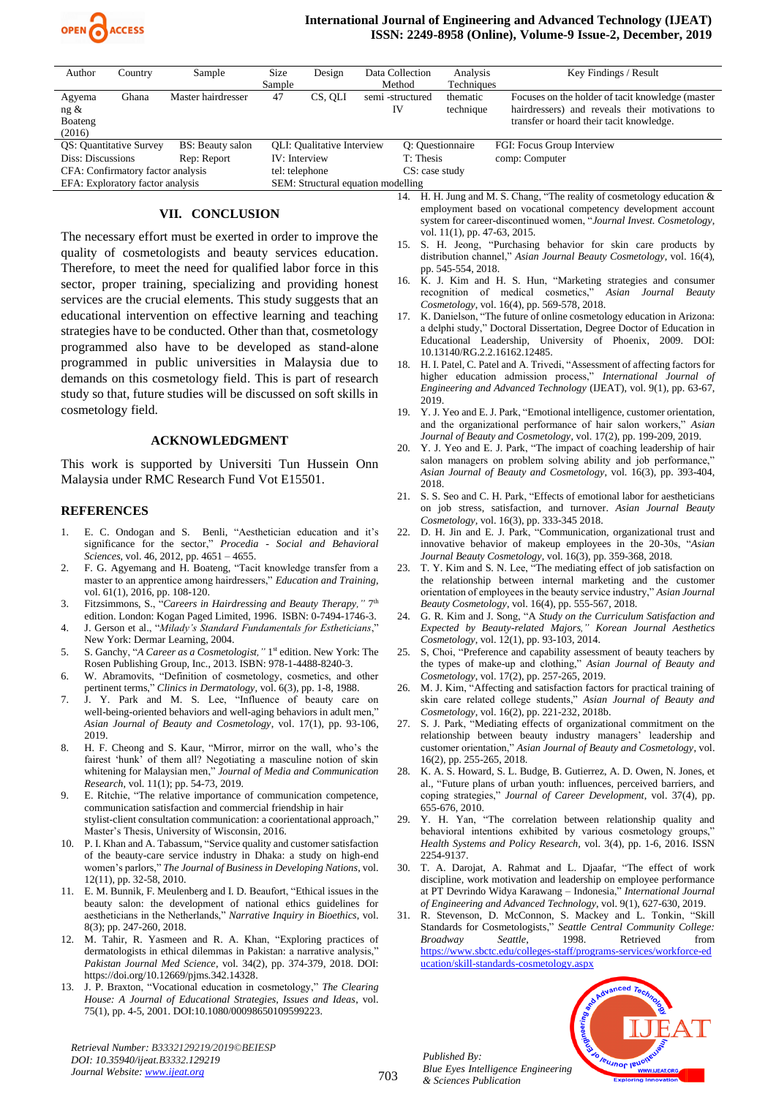

#### **International Journal of Engineering and Advanced Technology (IJEAT) ISSN: 2249-8958 (Online), Volume-9 Issue-2, December, 2019**

| Author                            | Country | Sample             | <b>Size</b>                        | Design                            |                 | Data Collection  | Analysis   | Key Findings / Result                                                               |
|-----------------------------------|---------|--------------------|------------------------------------|-----------------------------------|-----------------|------------------|------------|-------------------------------------------------------------------------------------|
|                                   |         |                    | Sample                             |                                   |                 | Method           | Techniques |                                                                                     |
| Agyema                            | Ghana   | Master hairdresser | 47                                 | CS, OLI                           | semi-structured |                  | thematic   | Focuses on the holder of tacit knowledge (master                                    |
| ng &                              |         |                    |                                    |                                   |                 | IV               | technique  | hairdressers) and reveals their motivations to                                      |
| Boateng                           |         |                    |                                    |                                   |                 |                  |            | transfer or hoard their tacit knowledge.                                            |
| (2016)                            |         |                    |                                    |                                   |                 |                  |            |                                                                                     |
| QS: Quantitative Survey           |         | BS: Beauty salon   |                                    | <b>OLI:</b> Oualitative Interview |                 | O: Questionnaire |            | FGI: Focus Group Interview                                                          |
| Diss: Discussions                 |         | Rep: Report        | IV: Interview                      |                                   |                 | T: Thesis        |            | comp: Computer                                                                      |
| CFA: Confirmatory factor analysis |         |                    | tel: telephone                     |                                   |                 | CS: case study   |            |                                                                                     |
| EFA: Exploratory factor analysis  |         |                    | SEM: Structural equation modelling |                                   |                 |                  |            |                                                                                     |
|                                   |         |                    |                                    |                                   |                 |                  |            | $14$ II II $1$ and $M$ C Change WThen and $1$ of an analysis of the substantial $0$ |

### **VII. CONCLUSION**

The necessary effort must be exerted in order to improve the quality of cosmetologists and beauty services education. Therefore, to meet the need for qualified labor force in this sector, proper training, specializing and providing honest services are the crucial elements. This study suggests that an educational intervention on effective learning and teaching strategies have to be conducted. Other than that, cosmetology programmed also have to be developed as stand-alone programmed in public universities in Malaysia due to demands on this cosmetology field. This is part of research study so that, future studies will be discussed on soft skills in cosmetology field.

#### **ACKNOWLEDGMENT**

This work is supported by Universiti Tun Hussein Onn Malaysia under RMC Research Fund Vot E15501*.*

#### **REFERENCES**

- 1. E. C. Ondogan and S. Benli, "Aesthetician education and it's significance for the sector," *Procedia - Social and Behavioral Sciences*, vol. 46, 2012, pp. 4651 – 4655.
- 2. F. G. Agyemang and H. Boateng, "Tacit knowledge transfer from a master to an apprentice among hairdressers," *Education and Training*, vol. 61(1), 2016, pp. 108-120.
- 3. Fitzsimmons, S., "*Careers in Hairdressing and Beauty Therapy,"* 7 th edition. London: Kogan Paged Limited, 1996. ISBN: 0-7494-1746-3.
- 4. J. Gerson et al., "*Milady's Standard Fundamentals for Estheticians*," New York: Dermar Learning, 2004.
- 5. S. Ganchy, "*A Career as a Cosmetologist*," 1<sup>st</sup> edition. New York: The Rosen Publishing Group, Inc., 2013. ISBN: 978-1-4488-8240-3.
- 6. W. Abramovits, "Definition of cosmetology, cosmetics, and other pertinent terms," *Clinics in Dermatology,* vol. 6(3), pp. 1-8, 1988.
- 7. J. Y. Park and M. S. Lee, "Influence of beauty care on well-being-oriented behaviors and well-aging behaviors in adult men," *Asian Journal of Beauty and Cosmetology*, vol. 17(1), pp. 93-106, 2019.
- 8. H. F. Cheong and S. Kaur, "Mirror, mirror on the wall, who's the fairest 'hunk' of them all? Negotiating a masculine notion of skin whitening for Malaysian men," *Journal of Media and Communication Research*, vol. 11(1); pp. 54-73, 2019.
- 9. E. Ritchie, "The relative importance of communication competence, communication satisfaction and commercial friendship in hair stylist-client consultation communication: a coorientational approach," Master's Thesis, University of Wisconsin, 2016.
- 10. P. I. Khan and A. Tabassum, "Service quality and customer satisfaction of the beauty-care service industry in Dhaka: a study on high-end women's parlors," *The Journal of Business in Developing Nations*, vol. 12(11), pp. 32-58, 2010.
- 11. E. M. Bunnik, F. Meulenberg and I. D. Beaufort, "Ethical issues in the beauty salon: the development of national ethics guidelines for aestheticians in the Netherlands," *Narrative Inquiry in Bioethics*, vol. 8(3); pp. 247-260, 2018.
- 12. M. Tahir, R. Yasmeen and R. A. Khan, "Exploring practices of dermatologists in ethical dilemmas in Pakistan: a narrative analysis," *Pakistan Journal Med Science*, vol. 34(2), pp. 374-379, 2018. DOI: https://doi.org/10.12669/pjms.342.14328.
- 13. J. P. Braxton, "Vocational education in cosmetology," *The Clearing House: A Journal of Educational Strategies, Issues and Ideas*, vol. 75(1), pp. 4-5, 2001. DOI:10.1080/00098650109599223.

*Retrieval Number: B3332129219/2019©BEIESP DOI: 10.35940/ijeat.B3332.129219 Journal Website[: www.ijeat.org](http://www.ijeat.org/)*

14. H. H. Jung and M. S. Chang, "The reality of cosmetology education & employment based on vocational competency development account system for career-discontinued women, "*Journal Invest. Cosmetology*, vol. 11(1), pp. 47-63, 2015.

- 15. S. H. Jeong, "Purchasing behavior for skin care products by distribution channel," *Asian Journal Beauty Cosmetology*, vol. 16(4), pp. 545-554, 2018.
- 16. K. J. Kim and H. S. Hun, "Marketing strategies and consumer recognition of medical cosmetics," Asian Journal Beauty recognition of medical cosmetics," *Cosmetology*, vol. 16(4), pp. 569-578, 2018.
- 17. K. Danielson, "The future of online cosmetology education in Arizona: a delphi study," Doctoral Dissertation, Degree Doctor of Education in Educational Leadership, University of Phoenix, 2009. DOI: 10.13140/RG.2.2.16162.12485.
- 18. H. I. Patel, C. Patel and A. Trivedi, "Assessment of affecting factors for higher education admission process," *International Journal of Engineering and Advanced Technology* (IJEAT), vol. 9(1), pp. 63-67, 2019.
- 19. Y. J. Yeo and E. J. Park, "Emotional intelligence, customer orientation, and the organizational performance of hair salon workers," *Asian Journal of Beauty and Cosmetology*, vol. 17(2), pp. 199-209, 2019.
- 20. Y. J. Yeo and E. J. Park, "The impact of coaching leadership of hair salon managers on problem solving ability and job performance,' *Asian Journal of Beauty and Cosmetology*, vol. 16(3), pp. 393-404, 2018.
- 21. S. S. Seo and C. H. Park, "Effects of emotional labor for aestheticians on job stress, satisfaction, and turnover. *Asian Journal Beauty Cosmetology,* vol. 16(3), pp. 333-345 2018.
- 22. D. H. Jin and E. J. Park, "Communication, organizational trust and innovative behavior of makeup employees in the 20-30s, "*Asian Journal Beauty Cosmetology*, vol. 16(3), pp. 359-368, 2018.
- 23. T. Y. Kim and S. N. Lee, "The mediating effect of job satisfaction on the relationship between internal marketing and the customer orientation of employees in the beauty service industry," *Asian Journal Beauty Cosmetology*, vol. 16(4), pp. 555-567, 2018.
- 24. G. R. Kim and J. Song, "A *Study on the Curriculum Satisfaction and Expected by Beauty-related Majors," Korean Journal Aesthetics Cosmetology*, vol. 12(1), pp. 93-103, 2014.
- 25. S, Choi, "Preference and capability assessment of beauty teachers by the types of make-up and clothing," *Asian Journal of Beauty and Cosmetology*, vol. 17(2), pp. 257-265, 2019.
- 26. M. J. Kim, "Affecting and satisfaction factors for practical training of skin care related college students," *Asian Journal of Beauty and Cosmetology*, vol. 16(2), pp. 221-232, 2018b.
- 27. S. J. Park, "Mediating effects of organizational commitment on the relationship between beauty industry managers' leadership and customer orientation," *Asian Journal of Beauty and Cosmetology*, vol. 16(2), pp. 255-265, 2018.
- 28. K. A. S. Howard, S. L. Budge, B. Gutierrez, A. D. Owen, N. Jones, et al., "Future plans of urban youth: influences, perceived barriers, and coping strategies," *Journal of Career Development*, vol. 37(4), pp. 655-676, 2010.
- 29. Y. H. Yan, "The correlation between relationship quality and behavioral intentions exhibited by various cosmetology groups,' *Health Systems and Policy Research,* vol. 3(4), pp. 1-6, 2016. ISSN 2254-9137.
- 30. T. A. Darojat, A. Rahmat and L. Djaafar, "The effect of work discipline, work motivation and leadership on employee performance at PT Devrindo Widya Karawang – Indonesia," *International Journal of Engineering and Advanced Technology*, vol. 9(1), 627-630, 2019.
- 31. R. Stevenson, D. McConnon, S. Mackey and L. Tonkin, "Skill Standards for Cosmetologists," *Seattle Central Community College: Broadway Seattle*, 1998. Retrieved from [https://www.sbctc.edu/colleges-staff/programs-services/workforce-ed](https://www.sbctc.edu/colleges-staff/programs-services/workforce-education/skill-standards-cosmetology.aspx) [ucation/skill-standards-cosmetology.aspx](https://www.sbctc.edu/colleges-staff/programs-services/workforce-education/skill-standards-cosmetology.aspx)



*Blue Eyes Intelligence Engineering* 



703